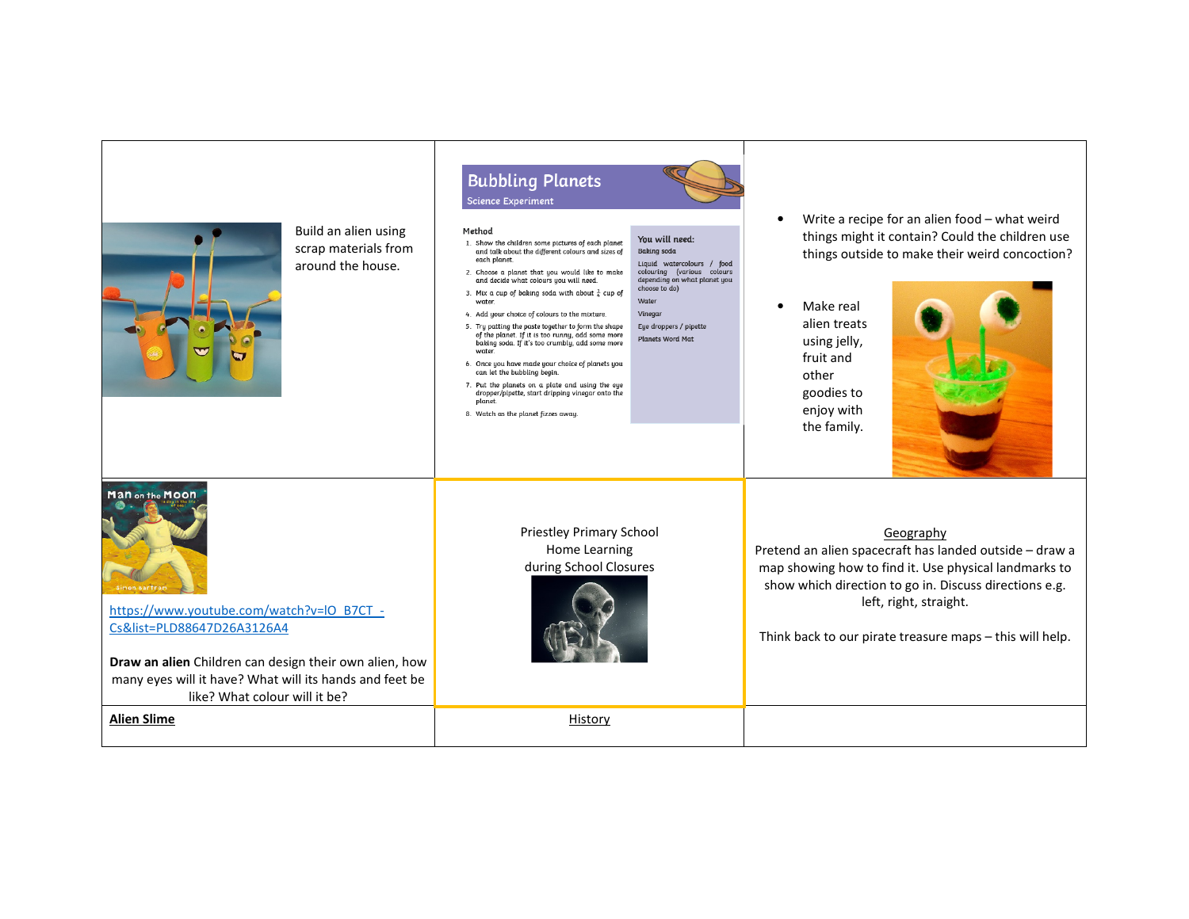| Build an alien using<br>scrap materials from<br>around the house.                                                                                                                                                                                                 | <b>Bubbling Planets</b><br><b>Science Experiment</b><br>Method<br>You will need:<br>1. Show the children some pictures of each planet<br><b>Baking</b> soda<br>and talk about the different colours and sizes of<br>each planet.<br>Liquid watercolours / food<br>colouring (various colours<br>2. Choose a planet that you would like to make<br>depending on what planet you<br>and decide what colours you will need.<br>choose to do)<br>3. Mix a cup of baking soda with about $\frac{1}{4}$ cup of<br>Water<br>water.<br>4. Add your choice of colours to the mixture.<br>Vinegar<br>5. Tru patting the paste together to form the shape<br>Eye droppers / pipette<br>of the planet. If it is too runny, add some more<br><b>Planets Word Mat</b><br>baking soda. If it's too crumbly, add some more<br>water.<br>6. Once you have made your choice of planets you<br>can let the bubbling begin.<br>7. Put the planets on a plate and using the eye<br>dropper/pipette, start dripping vinegar onto the<br>planet.<br>8. Watch as the planet fizzes away. | Write a recipe for an alien food - what weird<br>$\bullet$<br>things might it contain? Could the children use<br>things outside to make their weird concoction?<br>Make real<br>$\bullet$<br>alien treats<br>using jelly,<br>fruit and<br>other<br>goodies to<br>enjoy with<br>the family. |
|-------------------------------------------------------------------------------------------------------------------------------------------------------------------------------------------------------------------------------------------------------------------|------------------------------------------------------------------------------------------------------------------------------------------------------------------------------------------------------------------------------------------------------------------------------------------------------------------------------------------------------------------------------------------------------------------------------------------------------------------------------------------------------------------------------------------------------------------------------------------------------------------------------------------------------------------------------------------------------------------------------------------------------------------------------------------------------------------------------------------------------------------------------------------------------------------------------------------------------------------------------------------------------------------------------------------------------------------|--------------------------------------------------------------------------------------------------------------------------------------------------------------------------------------------------------------------------------------------------------------------------------------------|
| Man on the Moon<br>Simon Bartrar<br>https://www.youtube.com/watch?v=IO_B7CT_-<br>Cs&list=PLD88647D26A3126A4<br>Draw an alien Children can design their own alien, how<br>many eyes will it have? What will its hands and feet be<br>like? What colour will it be? | <b>Priestley Primary School</b><br>Home Learning<br>during School Closures                                                                                                                                                                                                                                                                                                                                                                                                                                                                                                                                                                                                                                                                                                                                                                                                                                                                                                                                                                                       | Geography<br>Pretend an alien spacecraft has landed outside - draw a<br>map showing how to find it. Use physical landmarks to<br>show which direction to go in. Discuss directions e.g.<br>left, right, straight.<br>Think back to our pirate treasure maps - this will help.              |
| <b>Alien Slime</b>                                                                                                                                                                                                                                                | History                                                                                                                                                                                                                                                                                                                                                                                                                                                                                                                                                                                                                                                                                                                                                                                                                                                                                                                                                                                                                                                          |                                                                                                                                                                                                                                                                                            |